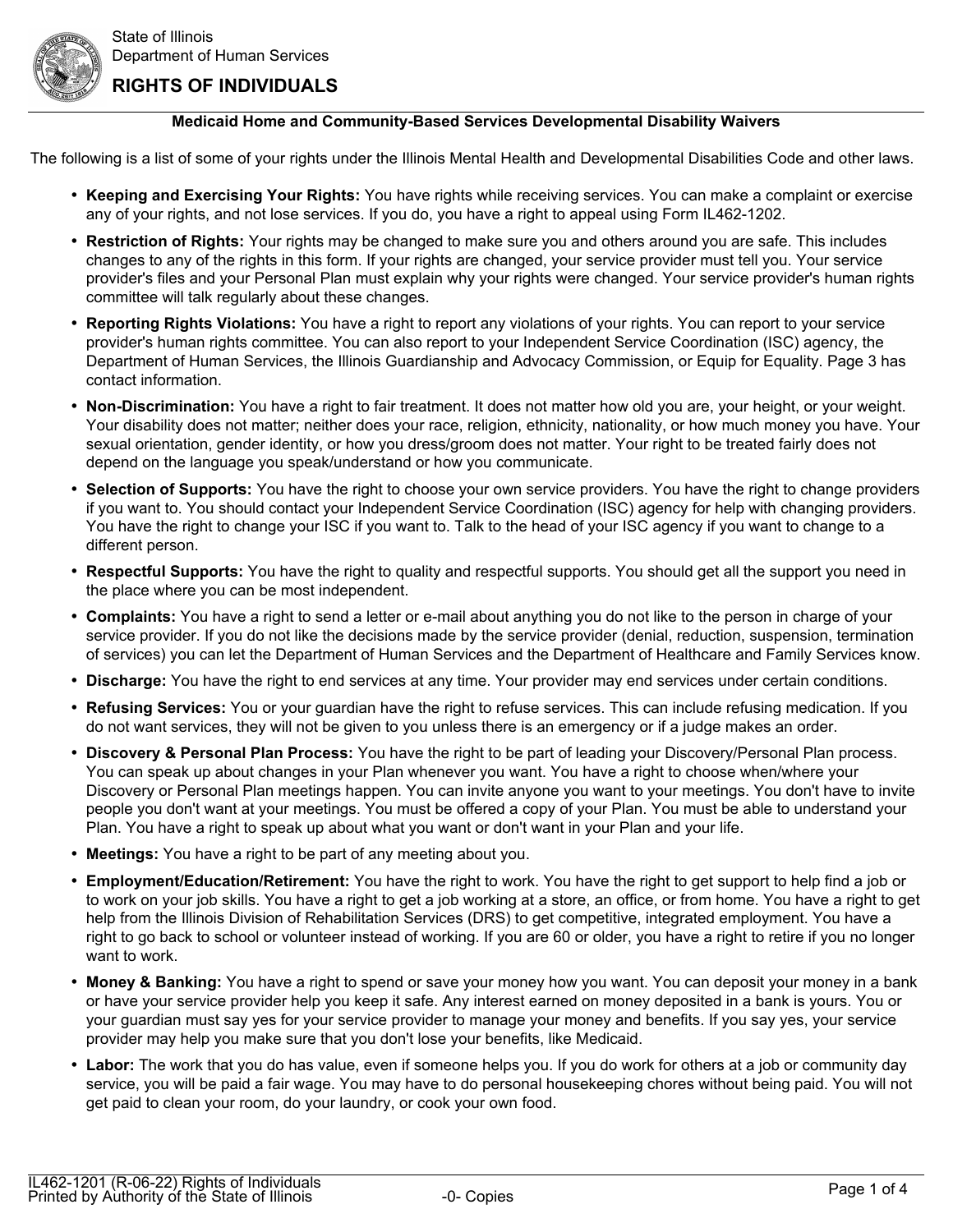

## **RIGHTS OF INDIVIDUALS**

### **Medicaid Home and Community-Based Services Developmental Disability Waivers**

The following is a list of some of your rights under the Illinois Mental Health and Developmental Disabilities Code and other laws.

- **Keeping and Exercising Your Rights:** You have rights while receiving services. You can make a complaint or exercise any of your rights, and not lose services. If you do, you have a right to appeal using Form IL462-1202.
- **Restriction of Rights:** Your rights may be changed to make sure you and others around you are safe. This includes changes to any of the rights in this form. If your rights are changed, your service provider must tell you. Your service provider's files and your Personal Plan must explain why your rights were changed. Your service provider's human rights committee will talk regularly about these changes.
- **Reporting Rights Violations:** You have a right to report any violations of your rights. You can report to your service provider's human rights committee. You can also report to your Independent Service Coordination (ISC) agency, the Department of Human Services, the Illinois Guardianship and Advocacy Commission, or Equip for Equality. Page 3 has contact information.
- **Non-Discrimination:** You have a right to fair treatment. It does not matter how old you are, your height, or your weight. Your disability does not matter; neither does your race, religion, ethnicity, nationality, or how much money you have. Your sexual orientation, gender identity, or how you dress/groom does not matter. Your right to be treated fairly does not depend on the language you speak/understand or how you communicate.
- **Selection of Supports:** You have the right to choose your own service providers. You have the right to change providers if you want to. You should contact your Independent Service Coordination (ISC) agency for help with changing providers. You have the right to change your ISC if you want to. Talk to the head of your ISC agency if you want to change to a different person.
- **Respectful Supports:** You have the right to quality and respectful supports. You should get all the support you need in the place where you can be most independent.
- **Complaints:** You have a right to send a letter or e-mail about anything you do not like to the person in charge of your service provider. If you do not like the decisions made by the service provider (denial, reduction, suspension, termination of services) you can let the Department of Human Services and the Department of Healthcare and Family Services know.
- **Discharge:** You have the right to end services at any time. Your provider may end services under certain conditions.
- **Refusing Services:** You or your guardian have the right to refuse services. This can include refusing medication. If you do not want services, they will not be given to you unless there is an emergency or if a judge makes an order.
- **Discovery & Personal Plan Process:** You have the right to be part of leading your Discovery/Personal Plan process. You can speak up about changes in your Plan whenever you want. You have a right to choose when/where your Discovery or Personal Plan meetings happen. You can invite anyone you want to your meetings. You don't have to invite people you don't want at your meetings. You must be offered a copy of your Plan. You must be able to understand your Plan. You have a right to speak up about what you want or don't want in your Plan and your life.
- **Meetings:** You have a right to be part of any meeting about you.
- **Employment/Education/Retirement:** You have the right to work. You have the right to get support to help find a job or to work on your job skills. You have a right to get a job working at a store, an office, or from home. You have a right to get help from the Illinois Division of Rehabilitation Services (DRS) to get competitive, integrated employment. You have a right to go back to school or volunteer instead of working. If you are 60 or older, you have a right to retire if you no longer want to work.
- **Money & Banking:** You have a right to spend or save your money how you want. You can deposit your money in a bank or have your service provider help you keep it safe. Any interest earned on money deposited in a bank is yours. You or your guardian must say yes for your service provider to manage your money and benefits. If you say yes, your service provider may help you make sure that you don't lose your benefits, like Medicaid.
- **Labor:** The work that you do has value, even if someone helps you. If you do work for others at a job or community day service, you will be paid a fair wage. You may have to do personal housekeeping chores without being paid. You will not get paid to clean your room, do your laundry, or cook your own food.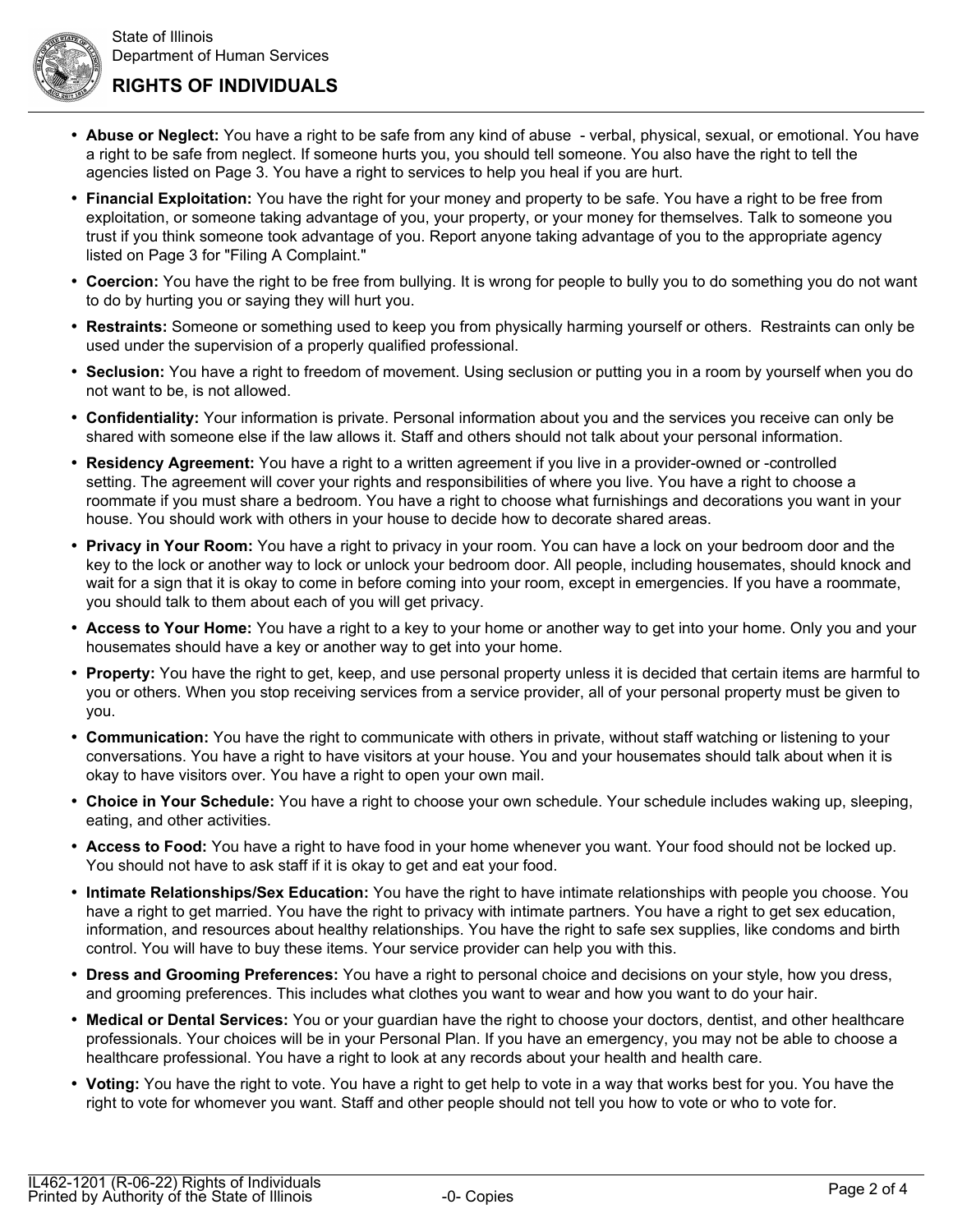**RIGHTS OF INDIVIDUALS**

- **Abuse or Neglect:** You have a right to be safe from any kind of abuse verbal, physical, sexual, or emotional. You have a right to be safe from neglect. If someone hurts you, you should tell someone. You also have the right to tell the agencies listed on Page 3. You have a right to services to help you heal if you are hurt.
- **Financial Exploitation:** You have the right for your money and property to be safe. You have a right to be free from exploitation, or someone taking advantage of you, your property, or your money for themselves. Talk to someone you trust if you think someone took advantage of you. Report anyone taking advantage of you to the appropriate agency listed on Page 3 for "Filing A Complaint."
- **Coercion:** You have the right to be free from bullying. It is wrong for people to bully you to do something you do not want to do by hurting you or saying they will hurt you.
- **Restraints:** Someone or something used to keep you from physically harming yourself or others. Restraints can only be used under the supervision of a properly qualified professional.
- **Seclusion:** You have a right to freedom of movement. Using seclusion or putting you in a room by yourself when you do not want to be, is not allowed.
- **Confidentiality:** Your information is private. Personal information about you and the services you receive can only be shared with someone else if the law allows it. Staff and others should not talk about your personal information.
- **Residency Agreement:** You have a right to a written agreement if you live in a provider-owned or -controlled setting. The agreement will cover your rights and responsibilities of where you live. You have a right to choose a roommate if you must share a bedroom. You have a right to choose what furnishings and decorations you want in your house. You should work with others in your house to decide how to decorate shared areas.
- **Privacy in Your Room:** You have a right to privacy in your room. You can have a lock on your bedroom door and the key to the lock or another way to lock or unlock your bedroom door. All people, including housemates, should knock and wait for a sign that it is okay to come in before coming into your room, except in emergencies. If you have a roommate, you should talk to them about each of you will get privacy.
- **Access to Your Home:** You have a right to a key to your home or another way to get into your home. Only you and your housemates should have a key or another way to get into your home.
- **Property:** You have the right to get, keep, and use personal property unless it is decided that certain items are harmful to you or others. When you stop receiving services from a service provider, all of your personal property must be given to you.
- **Communication:** You have the right to communicate with others in private, without staff watching or listening to your conversations. You have a right to have visitors at your house. You and your housemates should talk about when it is okay to have visitors over. You have a right to open your own mail.
- **Choice in Your Schedule:** You have a right to choose your own schedule. Your schedule includes waking up, sleeping, eating, and other activities.
- **Access to Food:** You have a right to have food in your home whenever you want. Your food should not be locked up. You should not have to ask staff if it is okay to get and eat your food.
- **Intimate Relationships/Sex Education:** You have the right to have intimate relationships with people you choose. You have a right to get married. You have the right to privacy with intimate partners. You have a right to get sex education, information, and resources about healthy relationships. You have the right to safe sex supplies, like condoms and birth control. You will have to buy these items. Your service provider can help you with this.
- **Dress and Grooming Preferences:** You have a right to personal choice and decisions on your style, how you dress, and grooming preferences. This includes what clothes you want to wear and how you want to do your hair.
- **Medical or Dental Services:** You or your guardian have the right to choose your doctors, dentist, and other healthcare professionals. Your choices will be in your Personal Plan. If you have an emergency, you may not be able to choose a healthcare professional. You have a right to look at any records about your health and health care.
- **Voting:** You have the right to vote. You have a right to get help to vote in a way that works best for you. You have the right to vote for whomever you want. Staff and other people should not tell you how to vote or who to vote for.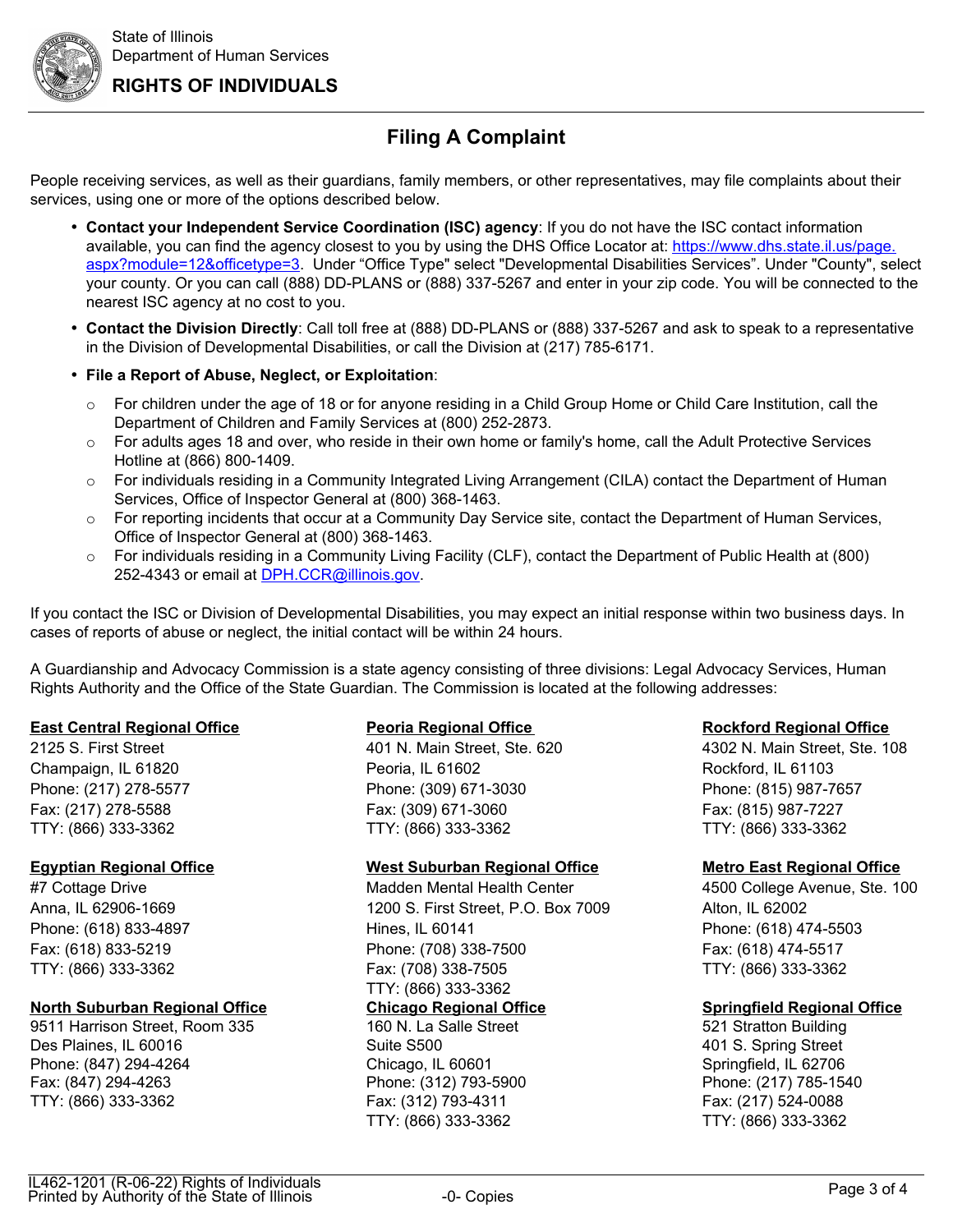**RIGHTS OF INDIVIDUALS**

# **Filing A Complaint**

People receiving services, as well as their guardians, family members, or other representatives, may file complaints about their services, using one or more of the options described below.

- **Contact your Independent Service Coordination (ISC) agency**: If you do not have the ISC contact information available, you can find the agency closest to you by using the DHS Office Locator at: https://www.dhs.state.il.us/page. aspx?module=12&officetype=3. Under "Office Type" select "Developmental Disabilities Services". Under "County", select your county. Or you can call (888) DD-PLANS or (888) 337-5267 and enter in your zip code. You will be connected to the nearest ISC agency at no cost to you.
- **Contact the Division Directly**: Call toll free at (888) DD-PLANS or (888) 337-5267 and ask to speak to a representative in the Division of Developmental Disabilities, or call the Division at (217) 785-6171.
- **File a Report of Abuse, Neglect, or Exploitation**:
	- $\circ$  For children under the age of 18 or for anyone residing in a Child Group Home or Child Care Institution, call the Department of Children and Family Services at (800) 252-2873.
	- $\circ$  For adults ages 18 and over, who reside in their own home or family's home, call the Adult Protective Services Hotline at (866) 800-1409.
	- o For individuals residing in a Community Integrated Living Arrangement (CILA) contact the Department of Human Services, Office of Inspector General at (800) 368-1463.
	- $\circ$  For reporting incidents that occur at a Community Day Service site, contact the Department of Human Services, Office of Inspector General at (800) 368-1463.
	- o For individuals residing in a Community Living Facility (CLF), contact the Department of Public Health at (800) 252-4343 or email at [DPH.CCR@illinois.gov.](mailto:DPH.CCR@illinois.gov)

If you contact the ISC or Division of Developmental Disabilities, you may expect an initial response within two business days. In cases of reports of abuse or neglect, the initial contact will be within 24 hours.

A Guardianship and Advocacy Commission is a state agency consisting of three divisions: Legal Advocacy Services, Human Rights Authority and the Office of the State Guardian. The Commission is located at the following addresses:

### **East Central Regional Office Peoria Regional Office Rockford Regional Office**

### **North Suburban Regional Office Chicago Regional Office Springfield Regional Office**

9511 Harrison Street, Room 335 160 N. La Salle Street 521 Stratton Building Des Plaines, IL 60016 Suite S500 401 S. Spring Street Phone: (847) 294-4264 Chicago, IL 60601 Springfield, IL 62706 Fax: (847) 294-4263 Phone: (312) 793-5900 Phone: (217) 785-1540 TTY: (866) 333-3362 Fax: (312) 793-4311 Fax: (217) 524-0088

Champaign, IL 61820 **Peoria, IL 61602** Peoria, IL 61602 Rockford, IL 61103 Phone: (217) 278-5577 Phone: (309) 671-3030 Phone: (815) 987-7657 Fax: (217) 278-5588 Fax: (309) 671-3060 Fax: (815) 987-7227 TTY: (866) 333-3362 TTY: (866) 333-3362 TTY: (866) 333-3362

### **Egyptian Regional Office West Suburban Regional Office Metro East Regional Office**

#7 Cottage Drive Madden Mental Health Center 4500 College Avenue, Ste. 100 Anna, IL 62906-1669 1200 S. First Street, P.O. Box 7009 Alton, IL 62002 Phone: (618) 833-4897 Hines, IL 60141 Phone: (618) 474-5503 Fax: (618) 833-5219 Phone: (708) 338-7500 Fax: (618) 474-5517 TTY: (866) 333-3362 Fax: (708) 338-7505 TTY: (866) 333-3362 TTY: (866) 333-3362

TTY: (866) 333-3362 TTY: (866) 333-3362

2125 S. First Street 401 N. Main Street, Ste. 620 4302 N. Main Street, Ste. 108